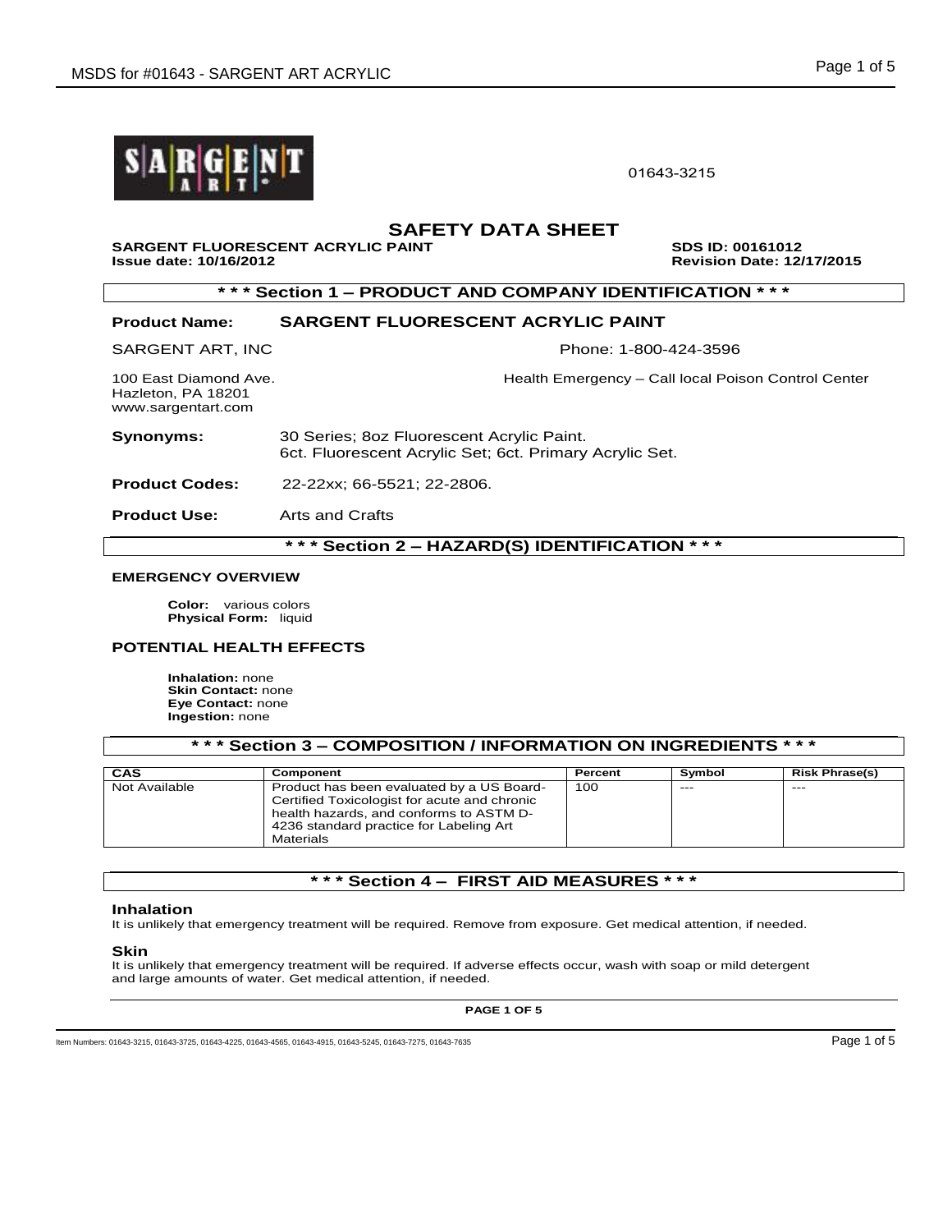

01643-3215

# **SAFETY DATA SHEET**

**SARGENT FLUORESCENT ACRYLIC PAINT SDS ID: 00161012 Issue date: 10/16/2012 Revision Date: 12/17/2015** 

# **\* \* \* Section 1 – PRODUCT AND COMPANY IDENTIFICATION \* \* \***

### **Product Name: SARGENT FLUORESCENT ACRYLIC PAINT**

SARGENT ART, INC **Phone: 1-800-424-3596** 

Hazleton, PA 18201 www.sargentart.com

100 East Diamond Ave. **Health Emergency – Call local Poison Control Center** 

**Synonyms:** 30 Series; 8oz Fluorescent Acrylic Paint. 6ct. Fluorescent Acrylic Set; 6ct. Primary Acrylic Set.

**Product Codes:** 22-22xx; 66-5521; 22-2806.

**Product Use:** Arts and Crafts

**\* \* \* Section 2 – HAZARD(S) IDENTIFICATION \* \* \***

#### **EMERGENCY OVERVIEW**

**Color:** various colors **Physical Form:** liquid

### **POTENTIAL HEALTH EFFECTS**

**Inhalation:** none **Skin Contact:** none **Eye Contact:** none **Ingestion:** none

| * * * Section 3 – COMPOSITION / INFORMATION ON INGREDIENTS * * * * |
|--------------------------------------------------------------------|
|--------------------------------------------------------------------|

| CAS           | Component                                                                                                                                                                                    | Percent | Symbol | <b>Risk Phrase(s)</b> |
|---------------|----------------------------------------------------------------------------------------------------------------------------------------------------------------------------------------------|---------|--------|-----------------------|
| Not Available | Product has been evaluated by a US Board-<br>Certified Toxicologist for acute and chronic<br>health hazards, and conforms to ASTM D-<br>4236 standard practice for Labeling Art<br>Materials | 100     | $---$  | $- - -$               |

# **\* \* \* Section 4 – FIRST AID MEASURES \* \* \***

#### **Inhalation**

It is unlikely that emergency treatment will be required. Remove from exposure. Get medical attention, if needed.

#### **Skin**

It is unlikely that emergency treatment will be required. If adverse effects occur, wash with soap or mild detergent and large amounts of water. Get medical attention, if needed.

**PAGE 1 OF 5**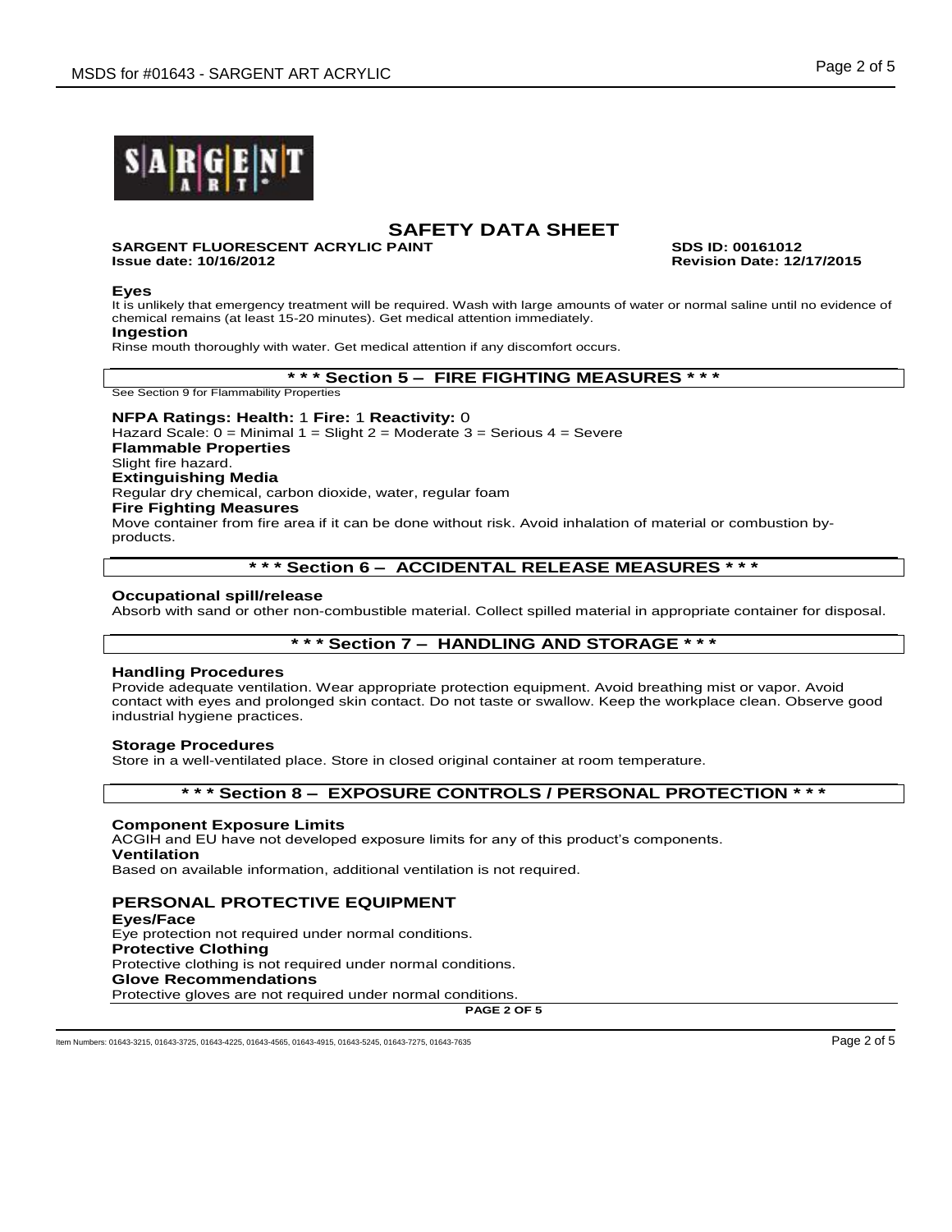

#### **SARGENT FLUORESCENT ACRYLIC PAINT SDS ID: 00161012 Issue date: 10/16/2012 Revision Date: 12/17/2015**

### **Eyes**

It is unlikely that emergency treatment will be required. Wash with large amounts of water or normal saline until no evidence of chemical remains (at least 15-20 minutes). Get medical attention immediately.

### **Ingestion**

Rinse mouth thoroughly with water. Get medical attention if any discomfort occurs.

### **\* \* \* Section 5 – FIRE FIGHTING MEASURES \* \* \***

See Section 9 for Flammability Properties

### **NFPA Ratings: Health:** 1 **Fire:** 1 **Reactivity:** 0

Hazard Scale: 0 = Minimal 1 = Slight 2 = Moderate 3 = Serious 4 = Severe **Flammable Properties** Slight fire hazard. **Extinguishing Media** Regular dry chemical, carbon dioxide, water, regular foam **Fire Fighting Measures** Move container from fire area if it can be done without risk. Avoid inhalation of material or combustion byproducts.

# **\* \* \* Section 6 – ACCIDENTAL RELEASE MEASURES \* \* \***

### **Occupational spill/release**

Absorb with sand or other non-combustible material. Collect spilled material in appropriate container for disposal.

# **\* \* \* Section 7 – HANDLING AND STORAGE \* \* \***

### **Handling Procedures**

Provide adequate ventilation. Wear appropriate protection equipment. Avoid breathing mist or vapor. Avoid contact with eyes and prolonged skin contact. Do not taste or swallow. Keep the workplace clean. Observe good industrial hygiene practices.

### **Storage Procedures**

Store in a well-ventilated place. Store in closed original container at room temperature.

### **\* \* \* Section 8 – EXPOSURE CONTROLS / PERSONAL PROTECTION \* \* \***

### **Component Exposure Limits**

ACGIH and EU have not developed exposure limits for any of this product's components. **Ventilation**

Based on available information, additional ventilation is not required.

# **PERSONAL PROTECTIVE EQUIPMENT**

**Eyes/Face** Eye protection not required under normal conditions. **Protective Clothing** Protective clothing is not required under normal conditions. **Glove Recommendations** Protective gloves are not required under normal conditions.

**PAGE 2 OF 5**

Item Numbers: 01643-3215, 01643-3725, 01643-4225, 01643-4565, 01643-4915, 01643-5245, 01643-7275, 01643-7635 Page 2 of 5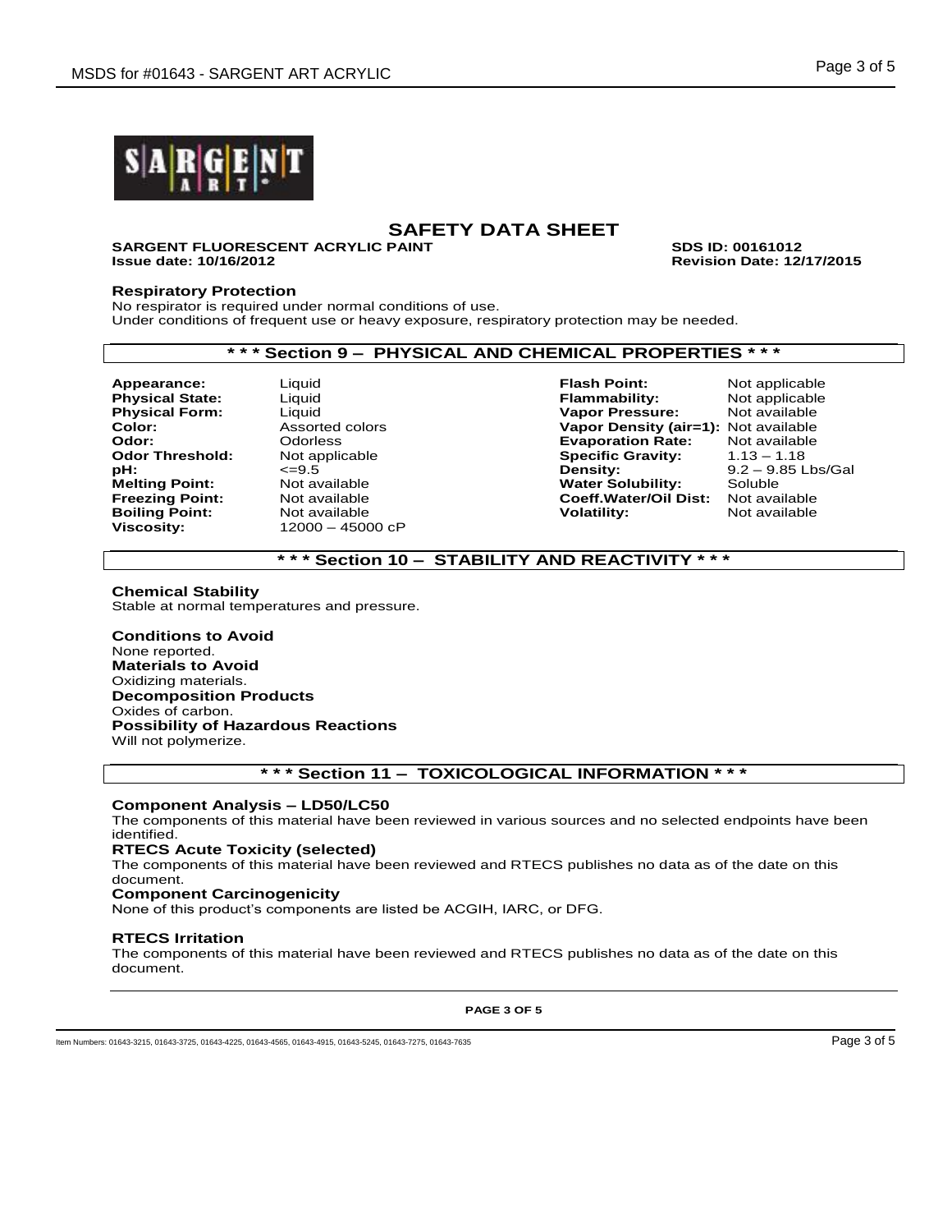

#### **SARGENT FLUORESCENT ACRYLIC PAINT SDS ID: 00161012 Issue date: 10/16/2012 Revision Date: 12/17/2015**

**Respiratory Protection**

No respirator is required under normal conditions of use. Under conditions of frequent use or heavy exposure, respiratory protection may be needed.

## **\* \* \* Section 9 – PHYSICAL AND CHEMICAL PROPERTIES \* \* \***

**Boiling Point:** 

**Viscosity:** 12000 – 45000 cP

**Appearance:** Liquid **Flash Point:** Not applicable **Physical State:** Liquid **Flammability:** Not applicable **Physical Form:** Liquid **Vapor Pressure:** Not available **Color:** Assorted colors **Vapor Density (air=1):** Not available **Odor:** Odorless **Evaporation Rate:** Not available **Specific Gravity:<br>Density: pH:**  $\leq$ =9.5 <br> **Pensity:** 9.2 – 9.85 Lbs/Gal<br> **Melting Point:** Not available **Communisty Contains Water Solubility:** Soluble **Melting Point:** Mot available **Noting Point:** Not available **Noting Point:** Not available **Freezing Point:** Not available **Freezing Point:** Not available **Freezing Point:** Not available **Coeff.Water/Oil Dist:** Not available

# **\* \* \* Section 10 – STABILITY AND REACTIVITY \* \* \***

### **Chemical Stability**

Stable at normal temperatures and pressure.

**Conditions to Avoid** None reported. **Materials to Avoid** Oxidizing materials. **Decomposition Products** Oxides of carbon. **Possibility of Hazardous Reactions** Will not polymerize.

## **\* \* \* Section 11 – TOXICOLOGICAL INFORMATION \* \* \***

### **Component Analysis – LD50/LC50**

The components of this material have been reviewed in various sources and no selected endpoints have been identified.

### **RTECS Acute Toxicity (selected)**

The components of this material have been reviewed and RTECS publishes no data as of the date on this document.

### **Component Carcinogenicity**

None of this product's components are listed be ACGIH, IARC, or DFG.

### **RTECS Irritation**

The components of this material have been reviewed and RTECS publishes no data as of the date on this document.

**PAGE 3 OF 5**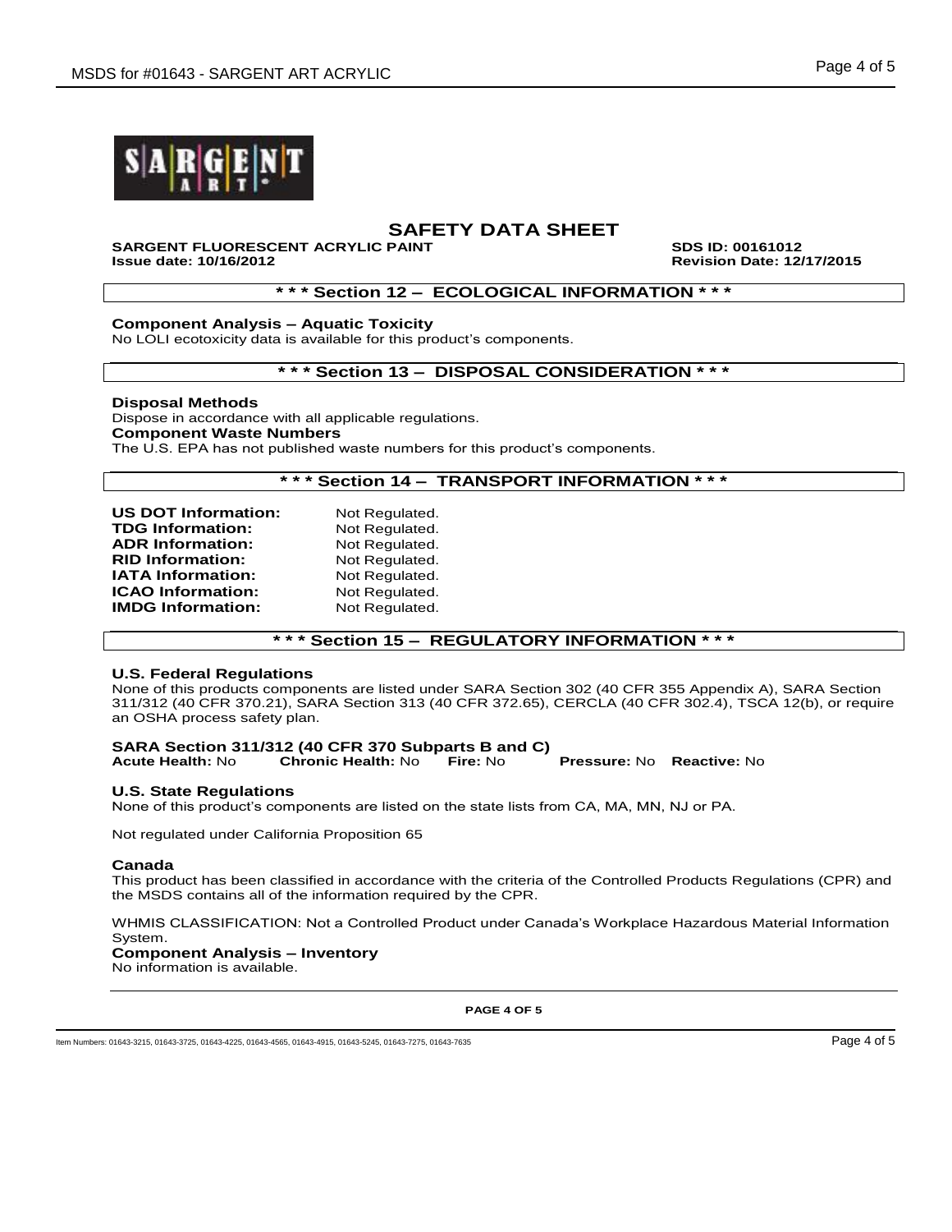



# **SARGENT FLUORESCENT ACRYLIC PAINT SDS ID: 00161012**

**Issue date: 10/16/2012 Revision Date: 12/17/2015**

### **\* \* \* Section 12 – ECOLOGICAL INFORMATION \* \* \***

### **Component Analysis – Aquatic Toxicity**

No LOLI ecotoxicity data is available for this product's components.

### **\* \* \* Section 13 – DISPOSAL CONSIDERATION \* \* \***

### **Disposal Methods**

Dispose in accordance with all applicable regulations. **Component Waste Numbers** The U.S. EPA has not published waste numbers for this product's components.

### **\* \* \* Section 14 – TRANSPORT INFORMATION \* \* \***

| <b>US DOT Information:</b> | Not Regulated. |
|----------------------------|----------------|
| <b>TDG Information:</b>    | Not Regulated. |
| <b>ADR Information:</b>    | Not Regulated. |
| <b>RID Information:</b>    | Not Regulated. |
| <b>IATA Information:</b>   | Not Regulated. |
| <b>ICAO Information:</b>   | Not Regulated. |
| <b>IMDG Information:</b>   | Not Regulated. |
|                            |                |

## **\* \* \* Section 15 – REGULATORY INFORMATION \* \* \***

### **U.S. Federal Regulations**

None of this products components are listed under SARA Section 302 (40 CFR 355 Appendix A), SARA Section 311/312 (40 CFR 370.21), SARA Section 313 (40 CFR 372.65), CERCLA (40 CFR 302.4), TSCA 12(b), or require an OSHA process safety plan.

#### **SARA Section 311/312 (40 CFR 370 Subparts B and C) Acute Health:** No **Chronic Health:** No **Fire:** No **Pressure:** No **Reactive:** No

## **U.S. State Regulations**

None of this product's components are listed on the state lists from CA, MA, MN, NJ or PA.

Not regulated under California Proposition 65

### **Canada**

This product has been classified in accordance with the criteria of the Controlled Products Regulations (CPR) and the MSDS contains all of the information required by the CPR.

WHMIS CLASSIFICATION: Not a Controlled Product under Canada's Workplace Hazardous Material Information System.

### **Component Analysis – Inventory**

No information is available.

**PAGE 4 OF 5**

Item Numbers: 01643-3215, 01643-3725, 01643-4225, 01643-4565, 01643-4915, 01643-5245, 01643-7275, 01643-7635 Page 4 of 5